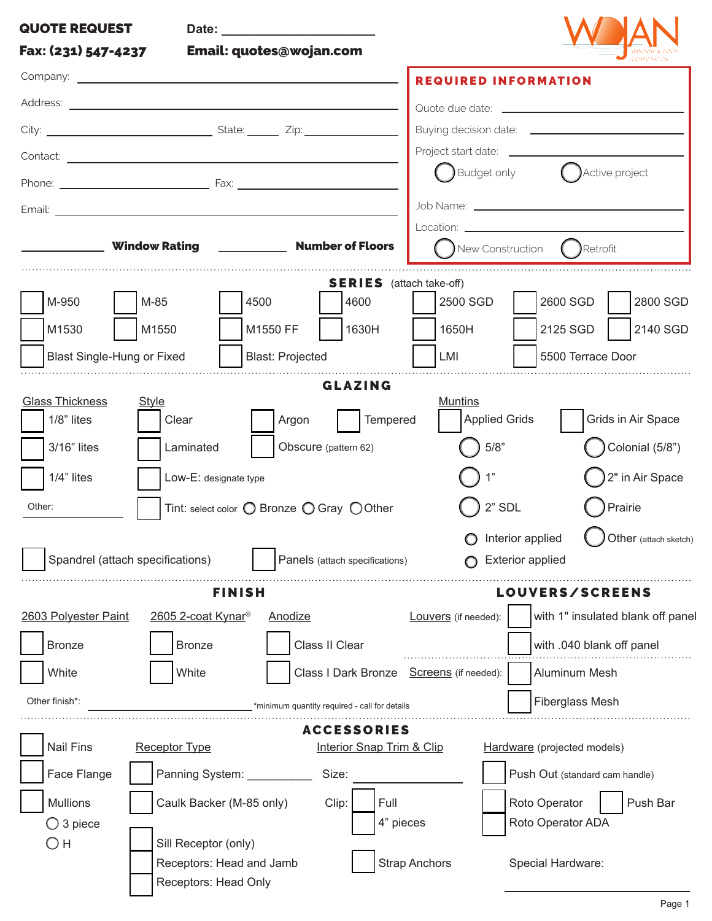| <b>QUOTE REQUEST</b>                                                                                                                       |                                                      |  |  |  |  |  |
|--------------------------------------------------------------------------------------------------------------------------------------------|------------------------------------------------------|--|--|--|--|--|
| Fax: (231) 547-4237<br>Email: quotes@wojan.com                                                                                             |                                                      |  |  |  |  |  |
| <b>REQUIRED INFORMATION</b>                                                                                                                |                                                      |  |  |  |  |  |
|                                                                                                                                            |                                                      |  |  |  |  |  |
|                                                                                                                                            |                                                      |  |  |  |  |  |
|                                                                                                                                            |                                                      |  |  |  |  |  |
| $\bigcirc$ Budget only                                                                                                                     | ( ) Active project                                   |  |  |  |  |  |
|                                                                                                                                            |                                                      |  |  |  |  |  |
| <b>Example 20</b> Window Rating <b>Constitute 20 Minutes</b> 20 Mumber of Floors<br>New Construction                                       | $\left( \quad \right)$ Retrofit                      |  |  |  |  |  |
| <b>SERIES</b> (attach take-off)                                                                                                            |                                                      |  |  |  |  |  |
| M-950<br>M-85<br>2500 SGD<br>2600 SGD<br>4500<br>4600                                                                                      | 2800 SGD                                             |  |  |  |  |  |
| M1550<br>M1550 FF<br>1630H<br>2125 SGD<br>M1530<br>1650H                                                                                   | 2140 SGD                                             |  |  |  |  |  |
| <b>Blast: Projected</b><br><b>Blast Single-Hung or Fixed</b><br>LMI                                                                        | 5500 Terrace Door                                    |  |  |  |  |  |
| <b>GLAZING</b>                                                                                                                             |                                                      |  |  |  |  |  |
| <b>Glass Thickness</b><br><b>Muntins</b><br>Style<br>$1/8$ " lites<br>Tempered<br><b>Applied Grids</b><br>Clear<br>Argon                   | Grids in Air Space                                   |  |  |  |  |  |
| 35/8"<br>3/16" lites<br>Obscure (pattern 62)<br>Laminated                                                                                  | Colonial (5/8")                                      |  |  |  |  |  |
| 1"<br>$1/4$ " lites<br>Low-E: designate type                                                                                               | 2" in Air Space                                      |  |  |  |  |  |
| $2"$ SDL<br>Other:<br>Tint: select color O Bronze O Gray O Other                                                                           | Prairie                                              |  |  |  |  |  |
|                                                                                                                                            |                                                      |  |  |  |  |  |
| Spandrel (attach specifications)<br>Panels (attach specifications)<br><b>Exterior applied</b>                                              | Other (attach sketch)<br>$\bigcirc$ Interior applied |  |  |  |  |  |
| <b>FINISH</b>                                                                                                                              | <b>LOUVERS/SCREENS</b>                               |  |  |  |  |  |
| 2603 Polyester Paint<br>2605 2-coat Kynar®<br>Anodize<br>Louvers (if needed):                                                              | with 1" insulated blank off panel                    |  |  |  |  |  |
| Class II Clear<br><b>Bronze</b><br><b>Bronze</b>                                                                                           | with .040 blank off panel                            |  |  |  |  |  |
| White<br>White<br>Class I Dark Bronze<br>Screens (if needed):                                                                              | <b>Aluminum Mesh</b>                                 |  |  |  |  |  |
| Other finish*:<br>*minimum quantity required - call for details                                                                            | Fiberglass Mesh                                      |  |  |  |  |  |
| <b>ACCESSORIES</b>                                                                                                                         |                                                      |  |  |  |  |  |
| <b>Nail Fins</b><br><b>Receptor Type</b><br>Interior Snap Trim & Clip<br>Hardware (projected models)                                       |                                                      |  |  |  |  |  |
| Face Flange<br>Panning System: __________<br>Size:                                                                                         | Push Out (standard cam handle)                       |  |  |  |  |  |
| Mullions<br>Push Bar<br>Caulk Backer (M-85 only)<br>Clip:<br>Full<br>Roto Operator<br>4" pieces<br>Roto Operator ADA<br>$\bigcirc$ 3 piece |                                                      |  |  |  |  |  |
|                                                                                                                                            |                                                      |  |  |  |  |  |
| Он<br>Sill Receptor (only)                                                                                                                 |                                                      |  |  |  |  |  |